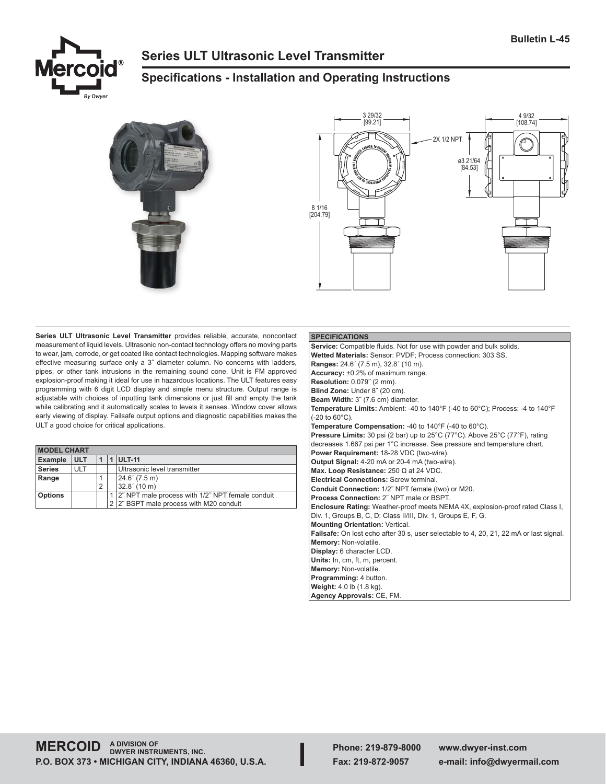

# **Series ULT Ultrasonic Level Transmitter**

# **Specifications - Installation and Operating Instructions**





**Series ULT Ultrasonic Level Transmitter** provides reliable, accurate, noncontact measurement of liquid levels. Ultrasonic non-contact technology offers no moving parts to wear, jam, corrode, or get coated like contact technologies. Mapping software makes effective measuring surface only a 3˝ diameter column. No concerns with ladders, pipes, or other tank intrusions in the remaining sound cone. Unit is FM approved explosion-proof making it ideal for use in hazardous locations. The ULT features easy programming with 6 digit LCD display and simple menu structure. Output range is adjustable with choices of inputting tank dimensions or just fill and empty the tank while calibrating and it automatically scales to levels it senses. Window cover allows early viewing of display. Failsafe output options and diagnostic capabilities makes the ULT a good choice for critical applications.

| <b>MODEL CHART</b> |            |                |  |                                                      |  |  |
|--------------------|------------|----------------|--|------------------------------------------------------|--|--|
| <b>Example</b>     | <b>ULT</b> |                |  | <b>ULT-11</b>                                        |  |  |
| <b>Series</b>      | ULT        |                |  | Ultrasonic level transmitter                         |  |  |
| Range              |            |                |  | 24.6' (7.5 m)                                        |  |  |
|                    |            | $\overline{2}$ |  | 32.8' (10 m)                                         |  |  |
| <b>Options</b>     |            |                |  | 1   2" NPT male process with 1/2" NPT female conduit |  |  |
|                    |            |                |  | 2 2" BSPT male process with M20 conduit              |  |  |

# **SPECIFICATIONS Service:** Compatible fluids. Not for use with powder and bulk solids. **Wetted Materials:** Sensor: PVDF; Process connection: 303 SS. **Ranges:** 24.6´ (7.5 m), 32.8´ (10 m). **Accuracy:** ±0.2% of maximum range. **Resolution:** 0.079˝ (2 mm). **Blind Zone:** Under 8˝ (20 cm). **Beam Width:** 3˝ (7.6 cm) diameter. **Temperature Limits:** Ambient: -40 to 140°F (-40 to 60°C); Process: -4 to 140°F (-20 to 60°C). **Temperature Compensation:** -40 to 140°F (-40 to 60°C). **Pressure Limits:** 30 psi (2 bar) up to 25°C (77°C). Above 25°C (77°F), rating decreases 1.667 psi per 1°C increase. See pressure and temperature chart. **Power Requirement:** 18-28 VDC (two-wire). **Output Signal:** 4-20 mA or 20-4 mA (two-wire). **Max. Loop Resistance:** 250 Ω at 24 VDC. **Electrical Connections:** Screw terminal. **Conduit Connection:** 1/2˝ NPT female (two) or M20. **Process Connection:** 2˝ NPT male or BSPT. **Enclosure Rating:** Weather-proof meets NEMA 4X, explosion-proof rated Class I, Div. 1, Groups B, C, D; Class II/III, Div. 1, Groups E, F, G. **Mounting Orientation:** Vertical. **Failsafe:** On lost echo after 30 s, user selectable to 4, 20, 21, 22 mA or last signal. **Memory:** Non-volatile. **Display:** 6 character LCD. **Units:** In, cm, ft, m, percent. **Memory:** Non-volatile. **Programming:** 4 button. **Weight:** 4.0 lb (1.8 kg). **Agency Approvals:** CE, FM.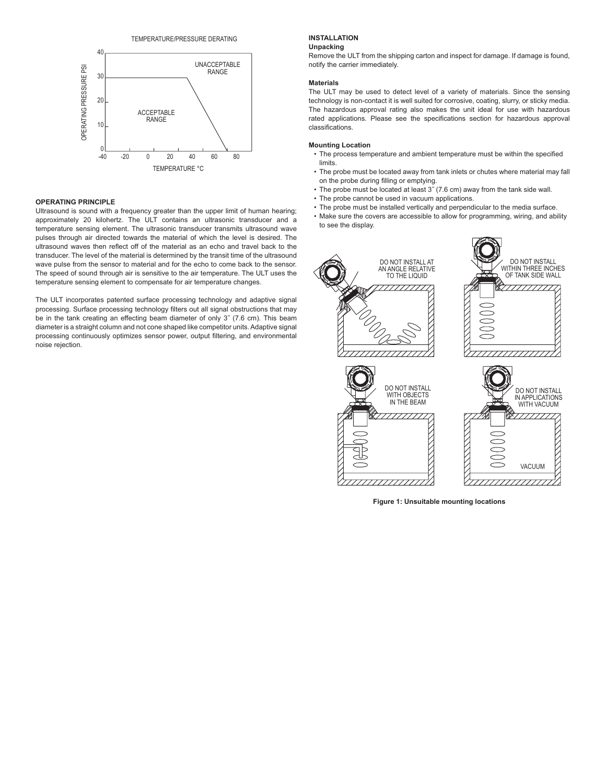

# **OPERATING PRINCIPLE**

Ultrasound is sound with a frequency greater than the upper limit of human hearing; approximately 20 kilohertz. The ULT contains an ultrasonic transducer and a temperature sensing element. The ultrasonic transducer transmits ultrasound wave pulses through air directed towards the material of which the level is desired. The ultrasound waves then reflect off of the material as an echo and travel back to the transducer. The level of the material is determined by the transit time of the ultrasound wave pulse from the sensor to material and for the echo to come back to the sensor. The speed of sound through air is sensitive to the air temperature. The ULT uses the temperature sensing element to compensate for air temperature changes.

The ULT incorporates patented surface processing technology and adaptive signal processing. Surface processing technology filters out all signal obstructions that may be in the tank creating an effecting beam diameter of only 3˝ (7.6 cm). This beam diameter is a straight column and not cone shaped like competitor units. Adaptive signal processing continuously optimizes sensor power, output filtering, and environmental noise rejection.

# **INSTALLATION**

# **Unpacking**

Remove the ULT from the shipping carton and inspect for damage. If damage is found, notify the carrier immediately.

# **Materials**

The ULT may be used to detect level of a variety of materials. Since the sensing technology is non-contact it is well suited for corrosive, coating, slurry, or sticky media. The hazardous approval rating also makes the unit ideal for use with hazardous rated applications. Please see the specifications section for hazardous approval classifications.

### **Mounting Location**

- The process temperature and ambient temperature must be within the specified limits.
- The probe must be located away from tank inlets or chutes where material may fall on the probe during filling or emptying.
- The probe must be located at least 3˝ (7.6 cm) away from the tank side wall.
- The probe cannot be used in vacuum applications.
- The probe must be installed vertically and perpendicular to the media surface.
- Make sure the covers are accessible to allow for programming, wiring, and ability to see the display.







**Figure 1: Unsuitable mounting locations**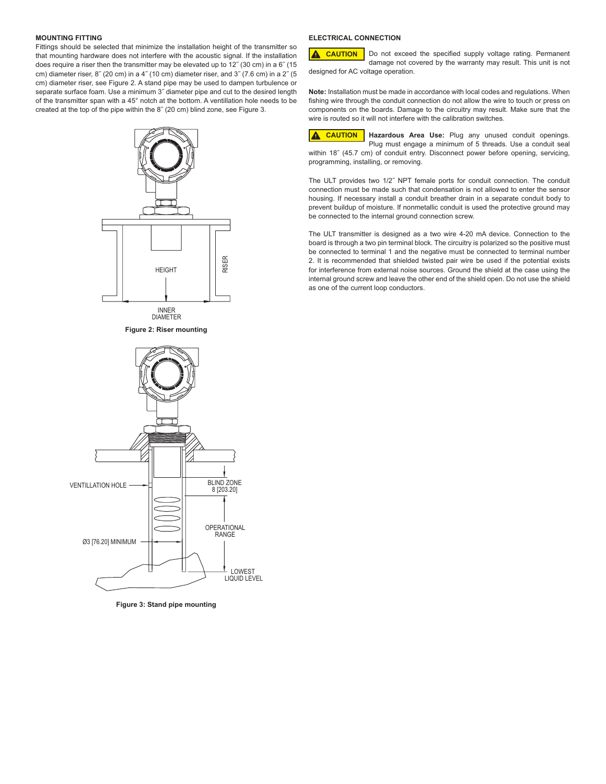# **MOUNTING FITTING**

Fittings should be selected that minimize the installation height of the transmitter so that mounting hardware does not interfere with the acoustic signal. If the installation does require a riser then the transmitter may be elevated up to 12˝ (30 cm) in a 6˝ (15 cm) diameter riser, 8<sup> $\degree$ </sup> (20 cm) in a 4 $\degree$  (10 cm) diameter riser, and 3 $\degree$  (7.6 cm) in a 2 $\degree$  (5 cm) diameter riser, see Figure 2. A stand pipe may be used to dampen turbulence or separate surface foam. Use a minimum 3˝ diameter pipe and cut to the desired length of the transmitter span with a 45° notch at the bottom. A ventillation hole needs to be created at the top of the pipe within the 8˝ (20 cm) blind zone, see Figure 3.



**Figure 3: Stand pipe mounting**

# **ELECTRICAL CONNECTION**

Do not exceed the specified supply voltage rating. Permanent damage not covered by the warranty may result. This unit is not designed for AC voltage operation. **A** CAUTION

**Note:** Installation must be made in accordance with local codes and regulations. When fishing wire through the conduit connection do not allow the wire to touch or press on components on the boards. Damage to the circuitry may result. Make sure that the wire is routed so it will not interfere with the calibration switches.

**Hazardous Area Use:** Plug any unused conduit openings.  $\blacktriangle$ **CAUTION**Plug must engage a minimum of 5 threads. Use a conduit seal within 18˝ (45.7 cm) of conduit entry. Disconnect power before opening, servicing, programming, installing, or removing.

The ULT provides two 1/2˝ NPT female ports for conduit connection. The conduit connection must be made such that condensation is not allowed to enter the sensor housing. If necessary install a conduit breather drain in a separate conduit body to prevent buildup of moisture. If nonmetallic conduit is used the protective ground may be connected to the internal ground connection screw.

The ULT transmitter is designed as a two wire 4-20 mA device. Connection to the board is through a two pin terminal block. The circuitry is polarized so the positive must be connected to terminal 1 and the negative must be connected to terminal number 2. It is recommended that shielded twisted pair wire be used if the potential exists for interference from external noise sources. Ground the shield at the case using the internal ground screw and leave the other end of the shield open. Do not use the shield as one of the current loop conductors.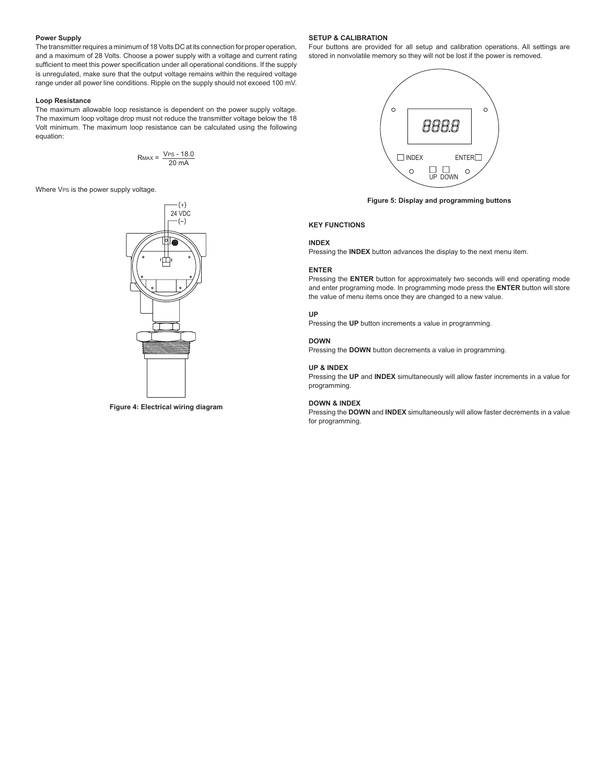## **Power Supply**

The transmitter requires a minimum of 18 Volts DC at its connection for proper operation, and a maximum of 28 Volts. Choose a power supply with a voltage and current rating sufficient to meet this power specification under all operational conditions. If the supply is unregulated, make sure that the output voltage remains within the required voltage range under all power line conditions. Ripple on the supply should not exceed 100 mV.

#### **Loop Resistance**

The maximum allowable loop resistance is dependent on the power supply voltage. The maximum loop voltage drop must not reduce the transmitter voltage below the 18 Volt minimum. The maximum loop resistance can be calculated using the following equation:

$$
R_{MAX} = \frac{V_{PS} - 18.0}{20 \text{ mA}}
$$

Where VPs is the power supply voltage.



**Figure 4: Electrical wiring diagram**

### **SETUP & CALIBRATION**

Four buttons are provided for all setup and calibration operations. All settings are stored in nonvolatile memory so they will not be lost if the power is removed.



**Figure 5: Display and programming buttons**

## **KEY FUNCTIONS**

# **INDEX**

Pressing the **INDEX** button advances the display to the next menu item.

# **ENTER**

Pressing the **ENTER** button for approximately two seconds will end operating mode and enter programing mode. In programming mode press the **ENTER** button will store the value of menu items once they are changed to a new value.

# **UP**

Pressing the **UP** button increments a value in programming.

## **DOWN**

Pressing the **DOWN** button decrements a value in programming.

## **UP & INDEX**

Pressing the **UP** and **INDEX** simultaneously will allow faster increments in a value for programming.

#### **DOWN & INDEX**

Pressing the **DOWN** and **INDEX** simultaneously will allow faster decrements in a value for programming.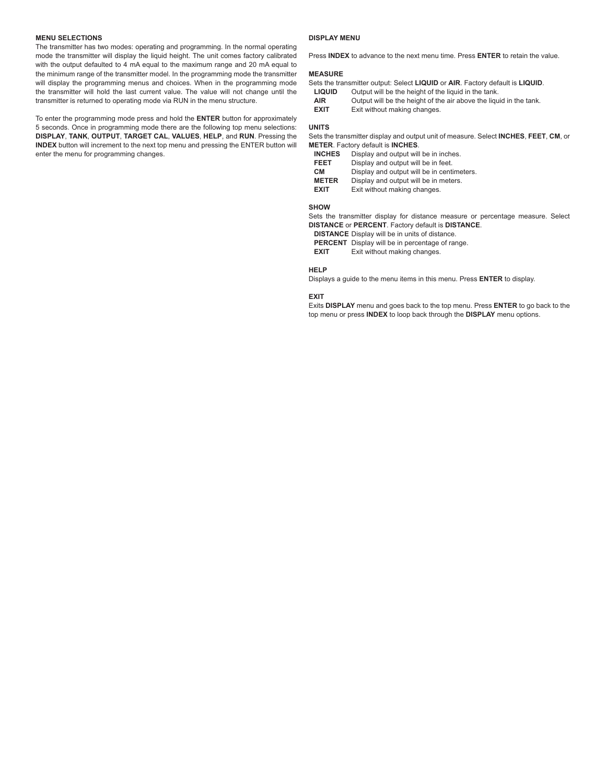# **MENU SELECTIONS**

The transmitter has two modes: operating and programming. In the normal operating mode the transmitter will display the liquid height. The unit comes factory calibrated with the output defaulted to 4 mA equal to the maximum range and 20 mA equal to the minimum range of the transmitter model. In the programming mode the transmitter will display the programming menus and choices. When in the programming mode the transmitter will hold the last current value. The value will not change until the transmitter is returned to operating mode via RUN in the menu structure.

To enter the programming mode press and hold the **ENTER** button for approximately 5 seconds. Once in programming mode there are the following top menu selections: **DISPLAY**, **TANK**, **OUTPUT**, **TARGET CAL**, **VALUES**, **HELP**, and **RUN**. Pressing the **INDEX** button will increment to the next top menu and pressing the ENTER button will enter the menu for programming changes.

#### **DISPLAY MENU**

Press **INDEX** to advance to the next menu time. Press **ENTER** to retain the value.

# **MEASURE**

|         | Sets the transmitter output: Select LIQUID or AIR. Factory default is LIQUID. |
|---------|-------------------------------------------------------------------------------|
| 1.01107 | Orderstord I has the besteck of the Berniel in the teach-                     |

- LIQUID Output will be the height of the liquid in the tank.
- **AIR** Output will be the height of the air above the liquid in the tank.<br>**EXIT** Exit without making changes.
- **Exit without making changes.**

#### **UNITS**

Sets the transmitter display and output unit of measure. Select **INCHES**, **FEET**, **CM**, or **METER**. Factory default is **INCHES**.

| <b>INCHES</b> | Display and output will be in inches.      |
|---------------|--------------------------------------------|
| <b>FEET</b>   | Display and output will be in feet.        |
| CМ            | Display and output will be in centimeters. |
| <b>METER</b>  | Display and output will be in meters.      |
| <b>EXIT</b>   | Exit without making changes.               |
|               |                                            |

# **SHOW**

Sets the transmitter display for distance measure or percentage measure. Select **DISTANCE** or **PERCENT**. Factory default is **DISTANCE**.

**DISTANCE** Display will be in units of distance.

**PERCENT** Display will be in percentage of range.

**EXIT** Exit without making changes.

# **HELP**

Displays a guide to the menu items in this menu. Press **ENTER** to display.

#### **EXIT**

Exits **DISPLAY** menu and goes back to the top menu. Press **ENTER** to go back to the top menu or press **INDEX** to loop back through the **DISPLAY** menu options.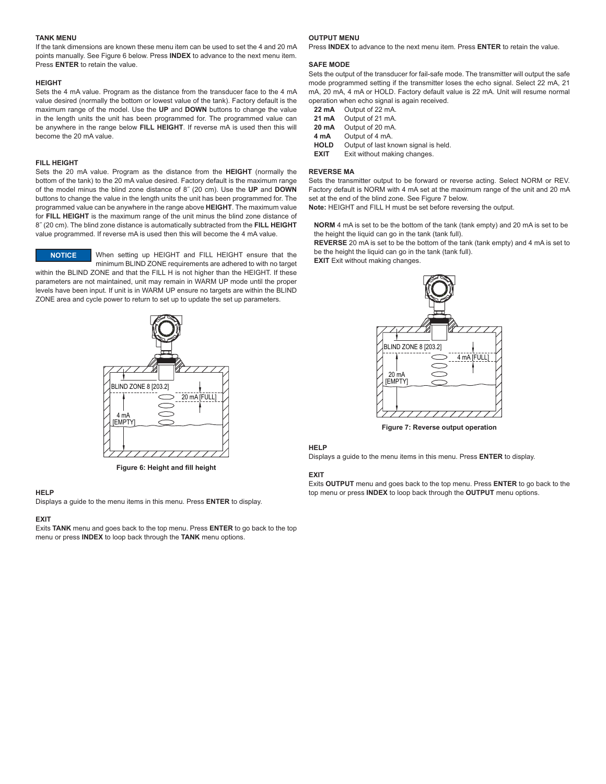# **TANK MENU**

If the tank dimensions are known these menu item can be used to set the 4 and 20 mA points manually. See Figure 6 below. Press **INDEX** to advance to the next menu item. Press **ENTER** to retain the value.

#### **HEIGHT**

Sets the 4 mA value. Program as the distance from the transducer face to the 4 mA value desired (normally the bottom or lowest value of the tank). Factory default is the maximum range of the model. Use the **UP** and **DOWN** buttons to change the value in the length units the unit has been programmed for. The programmed value can be anywhere in the range below **FILL HEIGHT**. If reverse mA is used then this will become the 20 mA value.

# **FILL HEIGHT**

Sets the 20 mA value. Program as the distance from the **HEIGHT** (normally the bottom of the tank) to the 20 mA value desired. Factory default is the maximum range of the model minus the blind zone distance of 8˝ (20 cm). Use the **UP** and **DOWN** buttons to change the value in the length units the unit has been programmed for. The programmed value can be anywhere in the range above **HEIGHT**. The maximum value for **FILL HEIGHT** is the maximum range of the unit minus the blind zone distance of 8˝ (20 cm). The blind zone distance is automatically subtracted from the **FILL HEIGHT** value programmed. If reverse mA is used then this will become the 4 mA value.

When setting up HEIGHT and FILL HEIGHT ensure that the minimum BLIND ZONE requirements are adhered to with no target **NOTICE**

within the BLIND ZONE and that the FILL H is not higher than the HEIGHT. If these parameters are not maintained, unit may remain in WARM UP mode until the proper levels have been input. If unit is in WARM UP ensure no targets are within the BLIND ZONE area and cycle power to return to set up to update the set up parameters.



**Figure 6: Height and fill height**

# **HELP**

Displays a guide to the menu items in this menu. Press **ENTER** to display.

#### **EXIT**

Exits **TANK** menu and goes back to the top menu. Press **ENTER** to go back to the top menu or press **INDEX** to loop back through the **TANK** menu options.

#### **OUTPUT MENU**

Press **INDEX** to advance to the next menu item. Press **ENTER** to retain the value.

#### **SAFE MODE**

Sets the output of the transducer for fail-safe mode. The transmitter will output the safe mode programmed setting if the transmitter loses the echo signal. Select 22 mA, 21 mA, 20 mA, 4 mA or HOLD. Factory default value is 22 mA. Unit will resume normal operation when echo signal is again received.

| 22 mA | Output of 22 mA. |
|-------|------------------|
| 21 mA | Output of 21 mA. |
| 20 mA | Output of 20 mA. |

**4 mA** Output of 4 mA.

**HOLD** Output of last known signal is held.<br>**EXIT** Exit without making changes. **Exit without making changes.** 

### **REVERSE MA**

Sets the transmitter output to be forward or reverse acting. Select NORM or REV. Factory default is NORM with 4 mA set at the maximum range of the unit and 20 mA set at the end of the blind zone. See Figure 7 below.

**Note:** HEIGHT and FILL H must be set before reversing the output.

**NORM** 4 mA is set to be the bottom of the tank (tank empty) and 20 mA is set to be the height the liquid can go in the tank (tank full).

**REVERSE** 20 mA is set to be the bottom of the tank (tank empty) and 4 mA is set to be the height the liquid can go in the tank (tank full).

**EXIT** Exit without making changes.



**Figure 7: Reverse output operation**

#### **HELP**

Displays a guide to the menu items in this menu. Press **ENTER** to display.

#### **EXIT**

Exits **OUTPUT** menu and goes back to the top menu. Press **ENTER** to go back to the top menu or press **INDEX** to loop back through the **OUTPUT** menu options.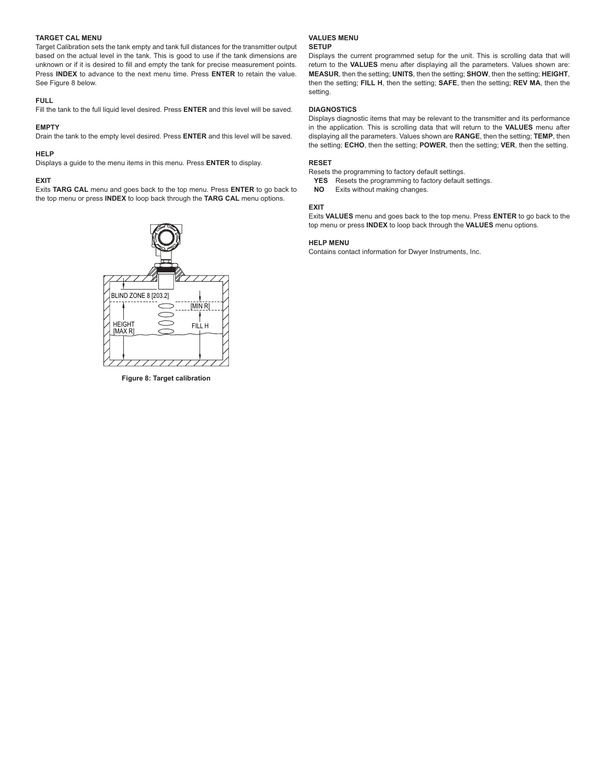# **TARGET CAL MENU**

Target Calibration sets the tank empty and tank full distances for the transmitter output based on the actual level in the tank. This is good to use if the tank dimensions are unknown or if it is desired to fill and empty the tank for precise measurement points. Press **INDEX** to advance to the next menu time. Press **ENTER** to retain the value. See Figure 8 below.

### **FULL**

Fill the tank to the full liquid level desired. Press **ENTER** and this level will be saved.

# **EMPTY**

Drain the tank to the empty level desired. Press **ENTER** and this level will be saved.

## **HELP**

Displays a guide to the menu items in this menu. Press **ENTER** to display.

## **EXIT**

Exits **TARG CAL** menu and goes back to the top menu. Press **ENTER** to go back to the top menu or press **INDEX** to loop back through the **TARG CAL** menu options.



**Figure 8: Target calibration**

# **VALUES MENU**

# **SETUP**

Displays the current programmed setup for the unit. This is scrolling data that will return to the **VALUES** menu after displaying all the parameters. Values shown are: **MEASUR**, then the setting; **UNITS**, then the setting; **SHOW**, then the setting; **HEIGHT**, then the setting; **FILL H**, then the setting; **SAFE**, then the setting; **REV MA**, then the setting.

# **DIAGNOSTICS**

Displays diagnostic items that may be relevant to the transmitter and its performance in the application. This is scrolling data that will return to the **VALUES** menu after displaying all the parameters. Values shown are **RANGE**, then the setting; **TEMP**, then the setting; **ECHO**, then the setting; **POWER**, then the setting; **VER**, then the setting.

#### **RESET**

Resets the programming to factory default settings.

- **YES** Resets the programming to factory default settings.
- **NO** Exits without making changes.

# **EXIT**

Exits **VALUES** menu and goes back to the top menu. Press **ENTER** to go back to the top menu or press **INDEX** to loop back through the **VALUES** menu options.

#### **HELP MENU**

Contains contact information for Dwyer Instruments, Inc.